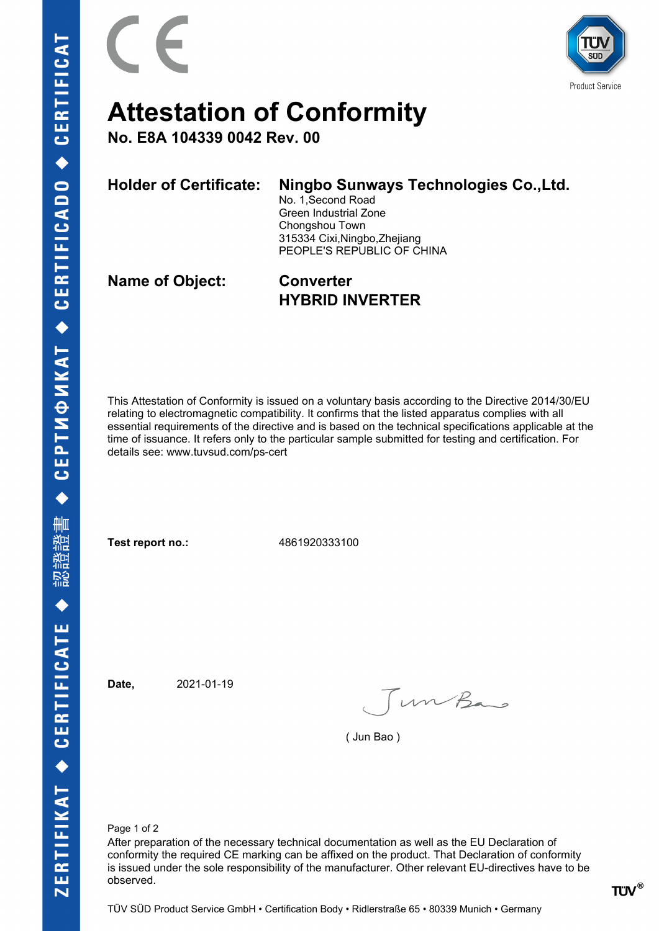



## **Attestation of Conformity**

**No. E8A 104339 0042 Rev. 00**

**Holder of Certificate: Ningbo Sunways Technologies Co.,Ltd.** No. 1,Second Road

Green Industrial Zone Chongshou Town 315334 Cixi,Ningbo,Zhejiang PEOPLE'S REPUBLIC OF CHINA

**Name of Object: Converter**

**HYBRID INVERTER**

This Attestation of Conformity is issued on a voluntary basis according to the Directive 2014/30/EU relating to electromagnetic compatibility. It confirms that the listed apparatus complies with all essential requirements of the directive and is based on the technical specifications applicable at the time of issuance. It refers only to the particular sample submitted for testing and certification. For details see: www.tuvsud.com/ps-cert

**Test report no.:** 4861920333100

**Date,** 2021-01-19

Jun Bas

( Jun Bao )

Page 1 of 2

After preparation of the necessary technical documentation as well as the EU Declaration of conformity the required CE marking can be affixed on the product. That Declaration of conformity is issued under the sole responsibility of the manufacturer. Other relevant EU-directives have to be observed.